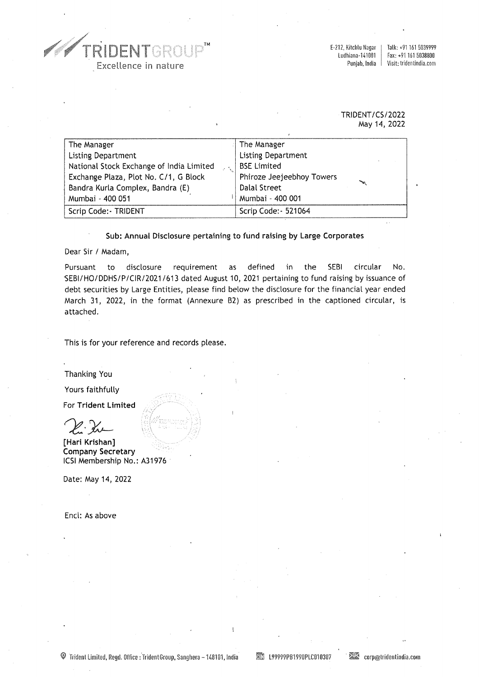TRIDENTGR TM Excellence in nature

E-212, Kitchlu Nagar | Talk: +91 161 5039999<br>Ludhiana-141001 | Fax: +91 161 5038800 hiana-141001 | Fax: +91 161 5038800<br>Punjab, India | Visit: tridentindia.com Visit: tridentindia.com

## TRIDENT /CS/2022 May 14, 2022

| The Manager                              | The Manager               |
|------------------------------------------|---------------------------|
| <b>Listing Department</b>                | <b>Listing Department</b> |
| National Stock Exchange of India Limited | <b>BSE Limited</b>        |
| Exchange Plaza, Plot No. C/1, G Block    | Phiroze Jeejeebhoy Towers |
| Bandra Kurla Complex, Bandra (E)         | Dalal Street              |
| Mumbai - 400 051                         | Mumbai - 400 001          |
| Scrip Code: - TRIDENT                    | Scrip Code: - 521064      |

## Sub: Annual Disclosure pertaining to fund raising by Large Corporates

Dear Sir / Madam,

Pursuant to disclosure requirement as defined in the SEBI circular No. 'SEBl/HO/DDHS/P/CIR/2021 /613 dated August 10, 2021 pertaining to fund raising by issuance of debt securities by Large Entities, please find below the disclosure for the financial year ended March 31, 2022, in the format (Annexure 82) as prescribed in the captioned circular, is attached.

This is for your reference and records please.

Thanking You

Yours faithfully

For Trident Limited

2. Kr

[Hari Krishan] Company Secretary ICSI Membership No.: A31976

Date: May 14, 2022

Encl: As above